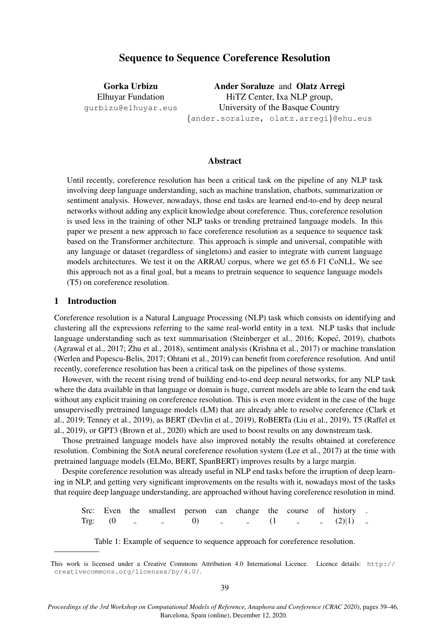# Sequence to Sequence Coreference Resolution

Gorka Urbizu Elhuyar Fundation gurbizu@elhuyar.eus

Ander Soraluze and Olatz Arregi HiTZ Center, Ixa NLP group, University of the Basque Country {ander.soraluze, olatz.arregi}@ehu.eus

#### Abstract

Until recently, coreference resolution has been a critical task on the pipeline of any NLP task involving deep language understanding, such as machine translation, chatbots, summarization or sentiment analysis. However, nowadays, those end tasks are learned end-to-end by deep neural networks without adding any explicit knowledge about coreference. Thus, coreference resolution is used less in the training of other NLP tasks or trending pretrained language models. In this paper we present a new approach to face coreference resolution as a sequence to sequence task based on the Transformer architecture. This approach is simple and universal, compatible with any language or dataset (regardless of singletons) and easier to integrate with current language models architectures. We test it on the ARRAU corpus, where we get 65.6 F1 CoNLL. We see this approach not as a final goal, but a means to pretrain sequence to sequence language models (T5) on coreference resolution.

### 1 Introduction

Coreference resolution is a Natural Language Processing (NLP) task which consists on identifying and clustering all the expressions referring to the same real-world entity in a text. NLP tasks that include language understanding such as text summarisation (Steinberger et al., 2016; Kopec, 2019), chatbots ´ (Agrawal et al., 2017; Zhu et al., 2018), sentiment analysis (Krishna et al., 2017) or machine translation (Werlen and Popescu-Belis, 2017; Ohtani et al., 2019) can benefit from coreference resolution. And until recently, coreference resolution has been a critical task on the pipelines of those systems.

However, with the recent rising trend of building end-to-end deep neural networks, for any NLP task where the data available in that language or domain is huge, current models are able to learn the end task without any explicit training on coreference resolution. This is even more evident in the case of the huge unsupervisedly pretrained language models (LM) that are already able to resolve coreference (Clark et al., 2019; Tenney et al., 2019), as BERT (Devlin et al., 2019), RoBERTa (Liu et al., 2019), T5 (Raffel et al., 2019), or GPT3 (Brown et al., 2020) which are used to boost results on any downstream task.

Those pretrained language models have also improved notably the results obtained at coreference resolution. Combining the SotA neural coreference resolution system (Lee et al., 2017) at the time with pretrained language models (ELMo, BERT, SpanBERT) improves results by a large margin.

Despite coreference resolution was already useful in NLP end tasks before the irruption of deep learning in NLP, and getting very significant improvements on the results with it, nowadays most of the tasks that require deep language understanding, are approached without having coreference resolution in mind.

Src: Even the smallest person can change the course of history . Trg:  $(0 \t 1 \t 0)$  (1 - (2)|1)

Table 1: Example of sequence to sequence approach for coreference resolution.

This work is licensed under a Creative Commons Attribution 4.0 International Licence. Licence details: http:// creativecommons.org/licenses/by/4.0/.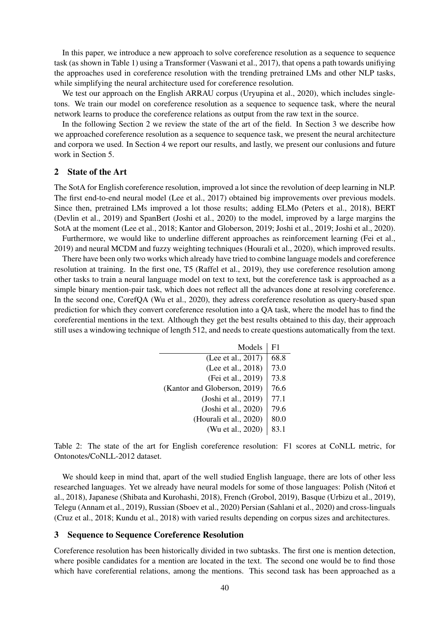In this paper, we introduce a new approach to solve coreference resolution as a sequence to sequence task (as shown in Table 1) using a Transformer (Vaswani et al., 2017), that opens a path towards unifiying the approaches used in coreference resolution with the trending pretrained LMs and other NLP tasks, while simplifying the neural architecture used for coreference resolution.

We test our approach on the English ARRAU corpus (Uryupina et al., 2020), which includes singletons. We train our model on coreference resolution as a sequence to sequence task, where the neural network learns to produce the coreference relations as output from the raw text in the source.

In the following Section 2 we review the state of the art of the field. In Section 3 we describe how we approached coreference resolution as a sequence to sequence task, we present the neural architecture and corpora we used. In Section 4 we report our results, and lastly, we present our conlusions and future work in Section 5.

#### 2 State of the Art

The SotA for English coreference resolution, improved a lot since the revolution of deep learning in NLP. The first end-to-end neural model (Lee et al., 2017) obtained big improvements over previous models. Since then, pretrained LMs improved a lot those results; adding ELMo (Peters et al., 2018), BERT (Devlin et al., 2019) and SpanBert (Joshi et al., 2020) to the model, improved by a large margins the SotA at the moment (Lee et al., 2018; Kantor and Globerson, 2019; Joshi et al., 2019; Joshi et al., 2020). Furthermore, we would like to underline different approaches as reinforcement learning (Fei et al.,

2019) and neural MCDM and fuzzy weighting techniques (Hourali et al., 2020), which improved results.

There have been only two works which already have tried to combine language models and coreference resolution at training. In the first one, T5 (Raffel et al., 2019), they use coreference resolution among other tasks to train a neural language model on text to text, but the coreference task is approached as a simple binary mention-pair task, which does not reflect all the advances done at resolving coreference. In the second one, CorefQA (Wu et al., 2020), they adress coreference resolution as query-based span prediction for which they convert coreference resolution into a QA task, where the model has to find the coreferential mentions in the text. Although they get the best results obtained to this day, their approach still uses a windowing technique of length 512, and needs to create questions automatically from the text.

| Models                       | F <sub>1</sub> |
|------------------------------|----------------|
| (Lee et al., 2017)           | 68.8           |
| (Lee et al., 2018)           | 73.0           |
| (Fei et al., 2019)           | 73.8           |
| (Kantor and Globerson, 2019) | 76.6           |
| (Joshi et al., 2019)         | 77.1           |
| (Joshi et al., 2020)         | 79.6           |
| (Hourali et al., 2020)       | 80.0           |
| (Wu et al., 2020)            | 83.1           |

Table 2: The state of the art for English coreference resolution: F1 scores at CoNLL metric, for Ontonotes/CoNLL-2012 dataset.

We should keep in mind that, apart of the well studied English language, there are lots of other less researched languages. Yet we already have neural models for some of those languages: Polish (Niton et al., 2018), Japanese (Shibata and Kurohashi, 2018), French (Grobol, 2019), Basque (Urbizu et al., 2019), Telegu (Annam et al., 2019), Russian (Sboev et al., 2020) Persian (Sahlani et al., 2020) and cross-linguals (Cruz et al., 2018; Kundu et al., 2018) with varied results depending on corpus sizes and architectures.

#### 3 Sequence to Sequence Coreference Resolution

Coreference resolution has been historically divided in two subtasks. The first one is mention detection, where posible candidates for a mention are located in the text. The second one would be to find those which have coreferential relations, among the mentions. This second task has been approached as a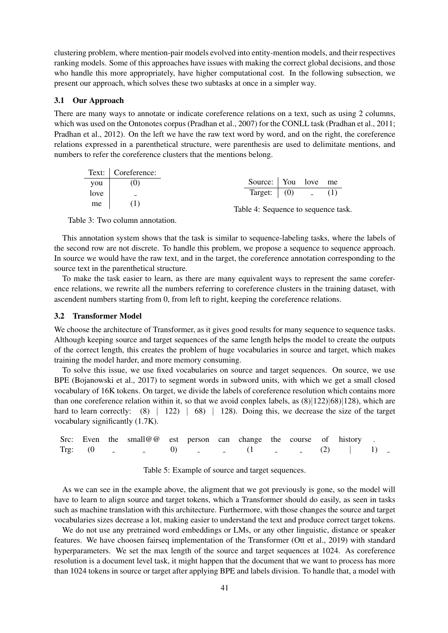clustering problem, where mention-pair models evolved into entity-mention models, and their respectives ranking models. Some of this approaches have issues with making the correct global decisions, and those who handle this more appropriately, have higher computational cost. In the following subsection, we present our approach, which solves these two subtasks at once in a simpler way.

#### 3.1 Our Approach

There are many ways to annotate or indicate coreference relations on a text, such as using 2 columns, which was used on the Ontonotes corpus (Pradhan et al., 2007) for the CONLL task (Pradhan et al., 2011; Pradhan et al., 2012). On the left we have the raw text word by word, and on the right, the coreference relations expressed in a parenthetical structure, were parenthesis are used to delimitate mentions, and numbers to refer the coreference clusters that the mentions belong.

|      | Text: Coreference: |                     |  |                                     |
|------|--------------------|---------------------|--|-------------------------------------|
| you  |                    | Source: You love me |  |                                     |
| love |                    | Target: $(0)$ (1)   |  |                                     |
| $me$ |                    |                     |  | Table 4: Sequence to sequence task. |

Table 3: Two column annotation.

This annotation system shows that the task is similar to sequence-labeling tasks, where the labels of the second row are not discrete. To handle this problem, we propose a sequence to sequence approach. In source we would have the raw text, and in the target, the coreference annotation corresponding to the source text in the parenthetical structure.

To make the task easier to learn, as there are many equivalent ways to represent the same coreference relations, we rewrite all the numbers referring to coreference clusters in the training dataset, with ascendent numbers starting from 0, from left to right, keeping the coreference relations.

#### 3.2 Transformer Model

We choose the architecture of Transformer, as it gives good results for many sequence to sequence tasks. Although keeping source and target sequences of the same length helps the model to create the outputs of the correct length, this creates the problem of huge vocabularies in source and target, which makes training the model harder, and more memory consuming.

To solve this issue, we use fixed vocabularies on source and target sequences. On source, we use BPE (Bojanowski et al., 2017) to segment words in subword units, with which we get a small closed vocabulary of 16K tokens. On target, we divide the labels of coreference resolution which contains more than one coreference relation within it, so that we avoid conplex labels, as  $(8)|122\rangle|68\rangle|128\rangle$ , which are hard to learn correctly:  $(8)$  | 122) | 68) | 128). Doing this, we decrease the size of the target vocabulary significantly (1.7K).

|  | Src: Even the small@@ est person can change the course of history . |  |  |  |  |  |
|--|---------------------------------------------------------------------|--|--|--|--|--|
|  | Trg: $(0 \t 1)$ (1 - (2)   1) -                                     |  |  |  |  |  |

Table 5: Example of source and target sequences.

As we can see in the example above, the aligment that we got previously is gone, so the model will have to learn to align source and target tokens, which a Transformer should do easily, as seen in tasks such as machine translation with this architecture. Furthermore, with those changes the source and target vocabularies sizes decrease a lot, making easier to understand the text and produce correct target tokens.

We do not use any pretrained word embeddings or LMs, or any other linguistic, distance or speaker features. We have choosen fairseq implementation of the Transformer (Ott et al., 2019) with standard hyperparameters. We set the max length of the source and target sequences at 1024. As coreference resolution is a document level task, it might happen that the document that we want to process has more than 1024 tokens in source or target after applying BPE and labels division. To handle that, a model with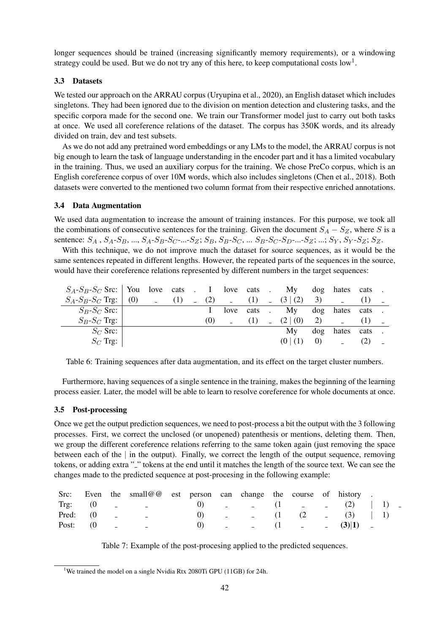longer sequences should be trained (increasing significantly memory requirements), or a windowing strategy could be used. But we do not try any of this here, to keep computational costs  $\text{low}^1$ .

### 3.3 Datasets

We tested our approach on the ARRAU corpus (Uryupina et al., 2020), an English dataset which includes singletons. They had been ignored due to the division on mention detection and clustering tasks, and the specific corpora made for the second one. We train our Transformer model just to carry out both tasks at once. We used all coreference relations of the dataset. The corpus has 350K words, and its already divided on train, dev and test subsets.

As we do not add any pretrained word embeddings or any LMs to the model, the ARRAU corpus is not big enough to learn the task of language understanding in the encoder part and it has a limited vocabulary in the training. Thus, we used an auxiliary corpus for the training. We chose PreCo corpus, which is an English coreference corpus of over 10M words, which also includes singletons (Chen et al., 2018). Both datasets were converted to the mentioned two column format from their respective enriched annotations.

#### 3.4 Data Augmentation

We used data augmentation to increase the amount of training instances. For this purpose, we took all the combinations of consecutive sentences for the training. Given the document  $S_A - S_Z$ , where S is a sentence:  $S_A$ ,  $S_A$ - $S_B$ , ...,  $S_A$ - $S_B$ - $S_C$ -...- $S_Z$ ;  $S_B$ ,  $S_B$ - $S_C$ , ...  $S_B$ - $S_C$ - $S_D$ -...- $S_Z$ ; ...;  $S_Y$ ,  $S_Y$ - $S_Z$ ;  $S_Z$ .

With this technique, we do not improve much the dataset for source sequences, as it would be the same sentences repeated in different lengths. However, the repeated parts of the sequences in the source, would have their coreference relations represented by different numbers in the target sequences:

| $S_A-S_B-S_C$ Src:   You love cats . I love cats . |     |  |     |            | My                           |                   | dog hates cats |  |
|----------------------------------------------------|-----|--|-----|------------|------------------------------|-------------------|----------------|--|
| $S_A$ - $S_B$ - $S_C$ Trg:                         | (0) |  |     |            | $(1)$ (2) $(2)$ (1) $(3)(2)$ | 3)                |                |  |
| $S_B$ - $S_C$ Src:                                 |     |  |     | love cats. | My                           | dog '             | hates cats.    |  |
| $S_B$ - $S_C$ Trg:                                 |     |  | (0) | (1)        | $(2 \mid 0)$                 | 2)                |                |  |
| $S_C$ Src:                                         |     |  |     |            | Mv                           | dog               | hates cats.    |  |
| $S_C$ Trg:                                         |     |  |     |            | (0   (1)                     | $\left( 0\right)$ |                |  |

Table 6: Training sequences after data augmentation, and its effect on the target cluster numbers.

Furthermore, having sequences of a single sentence in the training, makes the beginning of the learning process easier. Later, the model will be able to learn to resolve coreference for whole documents at once.

### 3.5 Post-processing

Once we get the output prediction sequences, we need to post-process a bit the output with the 3 following processes. First, we correct the unclosed (or unopened) patenthesis or mentions, deleting them. Then, we group the different coreference relations referring to the same token again (just removing the space between each of the | in the output). Finally, we correct the length of the output sequence, removing tokens, or adding extra " " tokens at the end until it matches the length of the source text. We can see the changes made to the predicted sequence at post-procesing in the following example:

|  | Src: Even the small@@ est person can change the course of history. |  |                         |  |  |  |  |
|--|--------------------------------------------------------------------|--|-------------------------|--|--|--|--|
|  | Trg: $(0 \t - \t 0)$ $ (1 \t - \t 2)$ $(1)$ $-$                    |  |                         |  |  |  |  |
|  |                                                                    |  | 0) $(1)(2)$ $(3)$ $(1)$ |  |  |  |  |
|  | Post: $(0 -$                                                       |  | 0) $(1 - 3)$ (1) $(3)$  |  |  |  |  |

Table 7: Example of the post-procesing applied to the predicted sequences.

<sup>&</sup>lt;sup>1</sup>We trained the model on a single Nvidia Rtx 2080Ti GPU (11GB) for 24h.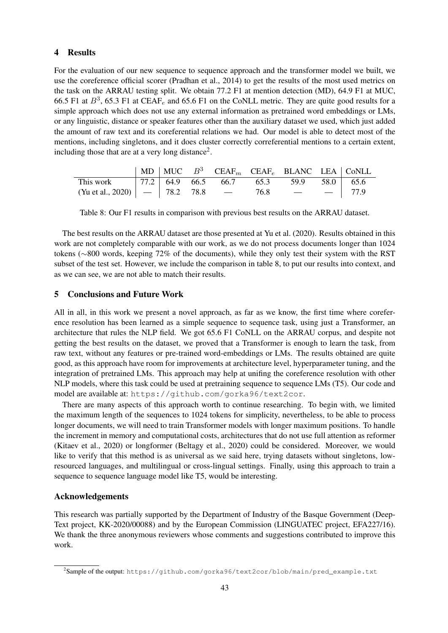### 4 Results

For the evaluation of our new sequence to sequence approach and the transformer model we built, we use the coreference official scorer (Pradhan et al., 2014) to get the results of the most used metrics on the task on the ARRAU testing split. We obtain 77.2 F1 at mention detection (MD), 64.9 F1 at MUC, 66.5 F1 at  $B^3$ , 65.3 F1 at CEAF<sub>e</sub> and 65.6 F1 on the CoNLL metric. They are quite good results for a simple approach which does not use any external information as pretrained word embeddings or LMs, or any linguistic, distance or speaker features other than the auxiliary dataset we used, which just added the amount of raw text and its coreferential relations we had. Our model is able to detect most of the mentions, including singletons, and it does cluster correctly correferential mentions to a certain extent, including those that are at a very long distance<sup>2</sup>.

|                                                               |  |  | $\mid$ MD $\mid$ MUC $B^3$ CEAF <sub>m</sub> CEAF <sub>e</sub> BLANC LEA $\mid$ CoNLL |  |
|---------------------------------------------------------------|--|--|---------------------------------------------------------------------------------------|--|
| This work 77.2 64.9 66.5 66.7 65.3 59.9 58.0 65.6             |  |  |                                                                                       |  |
| (Yu et al., 2020) $\vert$ - $\vert$ 78.2 78.8 - 76.8 - - 76.9 |  |  |                                                                                       |  |

Table 8: Our F1 results in comparison with previous best results on the ARRAU dataset.

The best results on the ARRAU dataset are those presented at Yu et al. (2020). Results obtained in this work are not completely comparable with our work, as we do not process documents longer than 1024 tokens (∼800 words, keeping 72% of the documents), while they only test their system with the RST subset of the test set. However, we include the comparison in table 8, to put our results into context, and as we can see, we are not able to match their results.

### 5 Conclusions and Future Work

All in all, in this work we present a novel approach, as far as we know, the first time where coreference resolution has been learned as a simple sequence to sequence task, using just a Transformer, an architecture that rules the NLP field. We got 65.6 F1 CoNLL on the ARRAU corpus, and despite not getting the best results on the dataset, we proved that a Transformer is enough to learn the task, from raw text, without any features or pre-trained word-embeddings or LMs. The results obtained are quite good, as this approach have room for improvements at architecture level, hyperparameter tuning, and the integration of pretrained LMs. This approach may help at unifing the coreference resolution with other NLP models, where this task could be used at pretraining sequence to sequence LMs (T5). Our code and model are available at: https://github.com/gorka96/text2cor.

There are many aspects of this approach worth to continue researching. To begin with, we limited the maximum length of the sequences to 1024 tokens for simplicity, nevertheless, to be able to process longer documents, we will need to train Transformer models with longer maximum positions. To handle the increment in memory and computational costs, architectures that do not use full attention as reformer (Kitaev et al., 2020) or longformer (Beltagy et al., 2020) could be considered. Moreover, we would like to verify that this method is as universal as we said here, trying datasets without singletons, lowresourced languages, and multilingual or cross-lingual settings. Finally, using this approach to train a sequence to sequence language model like T5, would be interesting.

## Acknowledgements

This research was partially supported by the Department of Industry of the Basque Government (Deep-Text project, KK-2020/00088) and by the European Commission (LINGUATEC project, EFA227/16). We thank the three anonymous reviewers whose comments and suggestions contributed to improve this work.

<sup>2</sup> Sample of the output: https://github.com/gorka96/text2cor/blob/main/pred\_example.txt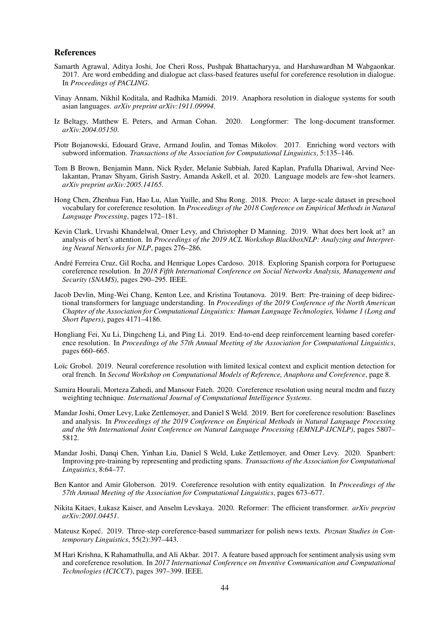#### References

- Samarth Agrawal, Aditya Joshi, Joe Cheri Ross, Pushpak Bhattacharyya, and Harshawardhan M Wabgaonkar. 2017. Are word embedding and dialogue act class-based features useful for coreference resolution in dialogue. In *Proceedings of PACLING*.
- Vinay Annam, Nikhil Koditala, and Radhika Mamidi. 2019. Anaphora resolution in dialogue systems for south asian languages. *arXiv preprint arXiv:1911.09994*.
- Iz Beltagy, Matthew E. Peters, and Arman Cohan. 2020. Longformer: The long-document transformer. *arXiv:2004.05150*.
- Piotr Bojanowski, Edouard Grave, Armand Joulin, and Tomas Mikolov. 2017. Enriching word vectors with subword information. *Transactions of the Association for Computational Linguistics*, 5:135–146.
- Tom B Brown, Benjamin Mann, Nick Ryder, Melanie Subbiah, Jared Kaplan, Prafulla Dhariwal, Arvind Neelakantan, Pranav Shyam, Girish Sastry, Amanda Askell, et al. 2020. Language models are few-shot learners. *arXiv preprint arXiv:2005.14165*.
- Hong Chen, Zhenhua Fan, Hao Lu, Alan Yuille, and Shu Rong. 2018. Preco: A large-scale dataset in preschool vocabulary for coreference resolution. In *Proceedings of the 2018 Conference on Empirical Methods in Natural Language Processing*, pages 172–181.
- Kevin Clark, Urvashi Khandelwal, Omer Levy, and Christopher D Manning. 2019. What does bert look at? an analysis of bert's attention. In *Proceedings of the 2019 ACL Workshop BlackboxNLP: Analyzing and Interpreting Neural Networks for NLP*, pages 276–286.
- Andre Ferreira Cruz, Gil Rocha, and Henrique Lopes Cardoso. 2018. Exploring Spanish corpora for Portuguese ´ coreference resolution. In *2018 Fifth International Conference on Social Networks Analysis, Management and Security (SNAMS)*, pages 290–295. IEEE.
- Jacob Devlin, Ming-Wei Chang, Kenton Lee, and Kristina Toutanova. 2019. Bert: Pre-training of deep bidirectional transformers for language understanding. In *Proceedings of the 2019 Conference of the North American Chapter of the Association for Computational Linguistics: Human Language Technologies, Volume 1 (Long and Short Papers)*, pages 4171–4186.
- Hongliang Fei, Xu Li, Dingcheng Li, and Ping Li. 2019. End-to-end deep reinforcement learning based coreference resolution. In *Proceedings of the 57th Annual Meeting of the Association for Computational Linguistics*, pages 660–665.
- Loïc Grobol. 2019. Neural coreference resolution with limited lexical context and explicit mention detection for oral french. In *Second Workshop on Computational Models of Reference, Anaphora and Coreference*, page 8.
- Samira Hourali, Morteza Zahedi, and Mansour Fateh. 2020. Coreference resolution using neural mcdm and fuzzy weighting technique. *International Journal of Computational Intelligence Systems*.
- Mandar Joshi, Omer Levy, Luke Zettlemoyer, and Daniel S Weld. 2019. Bert for coreference resolution: Baselines and analysis. In *Proceedings of the 2019 Conference on Empirical Methods in Natural Language Processing and the 9th International Joint Conference on Natural Language Processing (EMNLP-IJCNLP)*, pages 5807– 5812.
- Mandar Joshi, Danqi Chen, Yinhan Liu, Daniel S Weld, Luke Zettlemoyer, and Omer Levy. 2020. Spanbert: Improving pre-training by representing and predicting spans. *Transactions of the Association for Computational Linguistics*, 8:64–77.
- Ben Kantor and Amir Globerson. 2019. Coreference resolution with entity equalization. In *Proceedings of the 57th Annual Meeting of the Association for Computational Linguistics*, pages 673–677.
- Nikita Kitaev, Łukasz Kaiser, and Anselm Levskaya. 2020. Reformer: The efficient transformer. *arXiv preprint arXiv:2001.04451*.
- Mateusz Kopeć. 2019. Three-step coreference-based summarizer for polish news texts. *Poznan Studies in Contemporary Linguistics*, 55(2):397–443.
- M Hari Krishna, K Rahamathulla, and Ali Akbar. 2017. A feature based approach for sentiment analysis using svm and coreference resolution. In *2017 International Conference on Inventive Communication and Computational Technologies (ICICCT)*, pages 397–399. IEEE.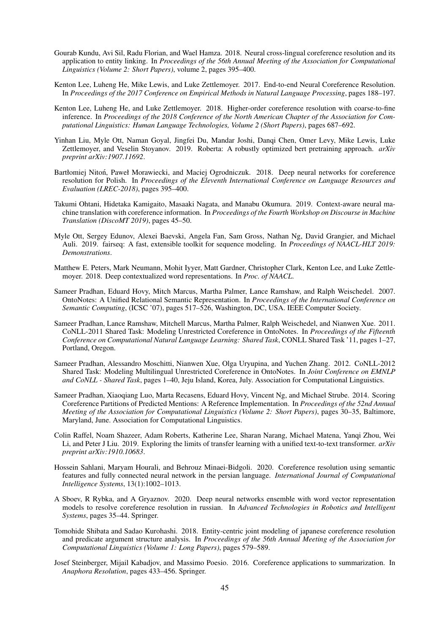- Gourab Kundu, Avi Sil, Radu Florian, and Wael Hamza. 2018. Neural cross-lingual coreference resolution and its application to entity linking. In *Proceedings of the 56th Annual Meeting of the Association for Computational Linguistics (Volume 2: Short Papers)*, volume 2, pages 395–400.
- Kenton Lee, Luheng He, Mike Lewis, and Luke Zettlemoyer. 2017. End-to-end Neural Coreference Resolution. In *Proceedings of the 2017 Conference on Empirical Methods in Natural Language Processing*, pages 188–197.
- Kenton Lee, Luheng He, and Luke Zettlemoyer. 2018. Higher-order coreference resolution with coarse-to-fine inference. In *Proceedings of the 2018 Conference of the North American Chapter of the Association for Computational Linguistics: Human Language Technologies, Volume 2 (Short Papers)*, pages 687–692.
- Yinhan Liu, Myle Ott, Naman Goyal, Jingfei Du, Mandar Joshi, Danqi Chen, Omer Levy, Mike Lewis, Luke Zettlemoyer, and Veselin Stoyanov. 2019. Roberta: A robustly optimized bert pretraining approach. *arXiv preprint arXiv:1907.11692*.
- Bartłomiej Nitoń, Paweł Morawiecki, and Maciej Ogrodniczuk. 2018. Deep neural networks for coreference resolution for Polish. In *Proceedings of the Eleventh International Conference on Language Resources and Evaluation (LREC-2018)*, pages 395–400.
- Takumi Ohtani, Hidetaka Kamigaito, Masaaki Nagata, and Manabu Okumura. 2019. Context-aware neural machine translation with coreference information. In *Proceedings of the Fourth Workshop on Discourse in Machine Translation (DiscoMT 2019)*, pages 45–50.
- Myle Ott, Sergey Edunov, Alexei Baevski, Angela Fan, Sam Gross, Nathan Ng, David Grangier, and Michael Auli. 2019. fairseq: A fast, extensible toolkit for sequence modeling. In *Proceedings of NAACL-HLT 2019: Demonstrations*.
- Matthew E. Peters, Mark Neumann, Mohit Iyyer, Matt Gardner, Christopher Clark, Kenton Lee, and Luke Zettlemoyer. 2018. Deep contextualized word representations. In *Proc. of NAACL*.
- Sameer Pradhan, Eduard Hovy, Mitch Marcus, Martha Palmer, Lance Ramshaw, and Ralph Weischedel. 2007. OntoNotes: A Unified Relational Semantic Representation. In *Proceedings of the International Conference on Semantic Computing*, (ICSC '07), pages 517–526, Washington, DC, USA. IEEE Computer Society.
- Sameer Pradhan, Lance Ramshaw, Mitchell Marcus, Martha Palmer, Ralph Weischedel, and Nianwen Xue. 2011. CoNLL-2011 Shared Task: Modeling Unrestricted Coreference in OntoNotes. In *Proceedings of the Fifteenth Conference on Computational Natural Language Learning: Shared Task*, CONLL Shared Task '11, pages 1–27, Portland, Oregon.
- Sameer Pradhan, Alessandro Moschitti, Nianwen Xue, Olga Uryupina, and Yuchen Zhang. 2012. CoNLL-2012 Shared Task: Modeling Multilingual Unrestricted Coreference in OntoNotes. In *Joint Conference on EMNLP and CoNLL - Shared Task*, pages 1–40, Jeju Island, Korea, July. Association for Computational Linguistics.
- Sameer Pradhan, Xiaoqiang Luo, Marta Recasens, Eduard Hovy, Vincent Ng, and Michael Strube. 2014. Scoring Coreference Partitions of Predicted Mentions: A Reference Implementation. In *Proceedings of the 52nd Annual Meeting of the Association for Computational Linguistics (Volume 2: Short Papers)*, pages 30–35, Baltimore, Maryland, June. Association for Computational Linguistics.
- Colin Raffel, Noam Shazeer, Adam Roberts, Katherine Lee, Sharan Narang, Michael Matena, Yanqi Zhou, Wei Li, and Peter J Liu. 2019. Exploring the limits of transfer learning with a unified text-to-text transformer. *arXiv preprint arXiv:1910.10683*.
- Hossein Sahlani, Maryam Hourali, and Behrouz Minaei-Bidgoli. 2020. Coreference resolution using semantic features and fully connected neural network in the persian language. *International Journal of Computational Intelligence Systems*, 13(1):1002–1013.
- A Sboev, R Rybka, and A Gryaznov. 2020. Deep neural networks ensemble with word vector representation models to resolve coreference resolution in russian. In *Advanced Technologies in Robotics and Intelligent Systems*, pages 35–44. Springer.
- Tomohide Shibata and Sadao Kurohashi. 2018. Entity-centric joint modeling of japanese coreference resolution and predicate argument structure analysis. In *Proceedings of the 56th Annual Meeting of the Association for Computational Linguistics (Volume 1: Long Papers)*, pages 579–589.
- Josef Steinberger, Mijail Kabadjov, and Massimo Poesio. 2016. Coreference applications to summarization. In *Anaphora Resolution*, pages 433–456. Springer.